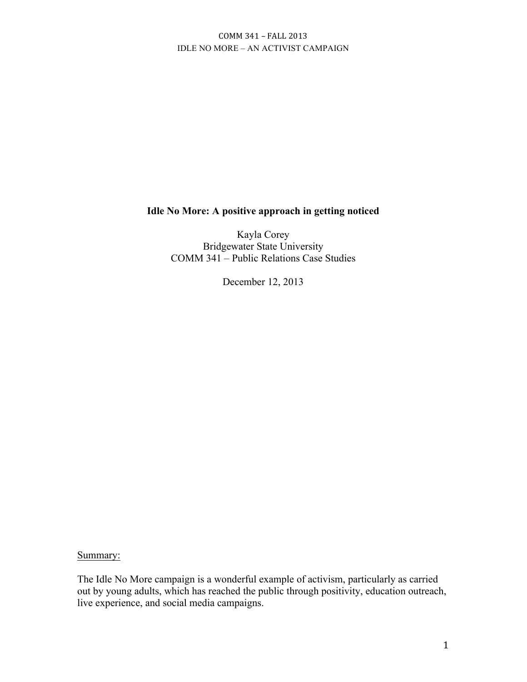## **Idle No More: A positive approach in getting noticed**

Kayla Corey Bridgewater State University COMM 341 – Public Relations Case Studies

December 12, 2013

Summary:

The Idle No More campaign is a wonderful example of activism, particularly as carried out by young adults, which has reached the public through positivity, education outreach, live experience, and social media campaigns.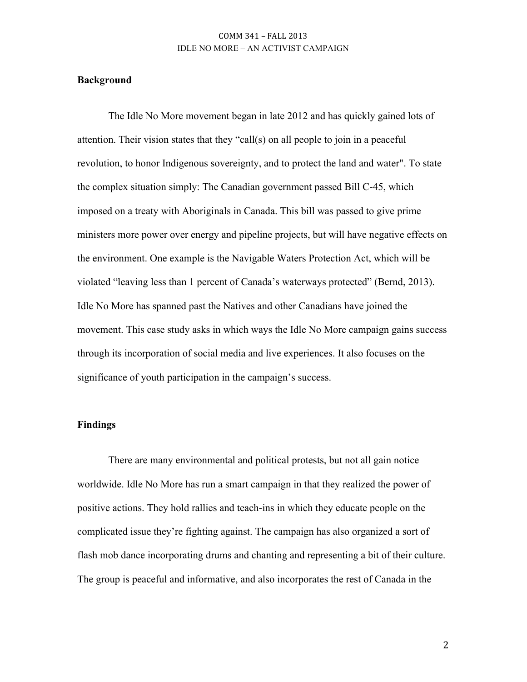#### **Background**

The Idle No More movement began in late 2012 and has quickly gained lots of attention. Their vision states that they "call(s) on all people to join in a peaceful revolution, to honor Indigenous sovereignty, and to protect the land and water". To state the complex situation simply: The Canadian government passed Bill C-45, which imposed on a treaty with Aboriginals in Canada. This bill was passed to give prime ministers more power over energy and pipeline projects, but will have negative effects on the environment. One example is the Navigable Waters Protection Act, which will be violated "leaving less than 1 percent of Canada's waterways protected" (Bernd, 2013). Idle No More has spanned past the Natives and other Canadians have joined the movement. This case study asks in which ways the Idle No More campaign gains success through its incorporation of social media and live experiences. It also focuses on the significance of youth participation in the campaign's success.

#### **Findings**

There are many environmental and political protests, but not all gain notice worldwide. Idle No More has run a smart campaign in that they realized the power of positive actions. They hold rallies and teach-ins in which they educate people on the complicated issue they're fighting against. The campaign has also organized a sort of flash mob dance incorporating drums and chanting and representing a bit of their culture. The group is peaceful and informative, and also incorporates the rest of Canada in the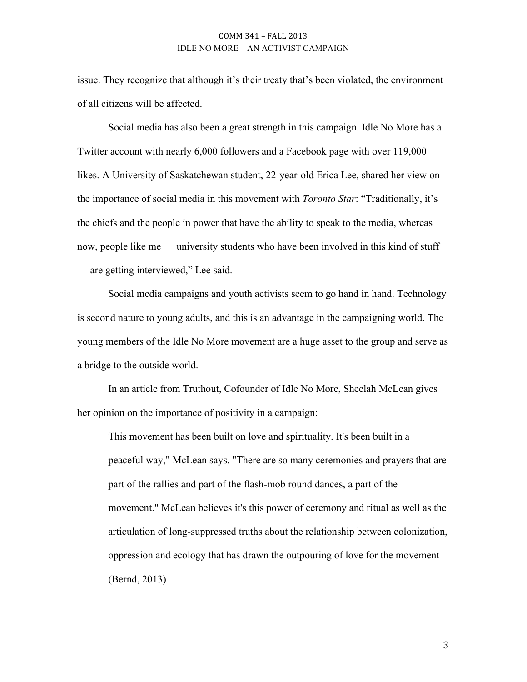issue. They recognize that although it's their treaty that's been violated, the environment of all citizens will be affected.

Social media has also been a great strength in this campaign. Idle No More has a Twitter account with nearly 6,000 followers and a Facebook page with over 119,000 likes. A University of Saskatchewan student, 22-year-old Erica Lee, shared her view on the importance of social media in this movement with *Toronto Star*: "Traditionally, it's the chiefs and the people in power that have the ability to speak to the media, whereas now, people like me — university students who have been involved in this kind of stuff — are getting interviewed," Lee said.

Social media campaigns and youth activists seem to go hand in hand. Technology is second nature to young adults, and this is an advantage in the campaigning world. The young members of the Idle No More movement are a huge asset to the group and serve as a bridge to the outside world.

In an article from Truthout, Cofounder of Idle No More, Sheelah McLean gives her opinion on the importance of positivity in a campaign:

This movement has been built on love and spirituality. It's been built in a peaceful way," McLean says. "There are so many ceremonies and prayers that are part of the rallies and part of the flash-mob round dances, a part of the movement." McLean believes it's this power of ceremony and ritual as well as the articulation of long-suppressed truths about the relationship between colonization, oppression and ecology that has drawn the outpouring of love for the movement (Bernd, 2013)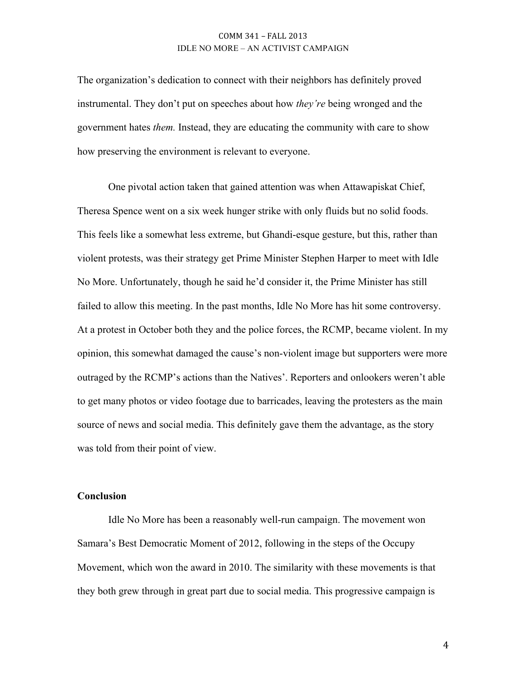The organization's dedication to connect with their neighbors has definitely proved instrumental. They don't put on speeches about how *they're* being wronged and the government hates *them.* Instead, they are educating the community with care to show how preserving the environment is relevant to everyone.

One pivotal action taken that gained attention was when Attawapiskat Chief, Theresa Spence went on a six week hunger strike with only fluids but no solid foods. This feels like a somewhat less extreme, but Ghandi-esque gesture, but this, rather than violent protests, was their strategy get Prime Minister Stephen Harper to meet with Idle No More. Unfortunately, though he said he'd consider it, the Prime Minister has still failed to allow this meeting. In the past months, Idle No More has hit some controversy. At a protest in October both they and the police forces, the RCMP, became violent. In my opinion, this somewhat damaged the cause's non-violent image but supporters were more outraged by the RCMP's actions than the Natives'. Reporters and onlookers weren't able to get many photos or video footage due to barricades, leaving the protesters as the main source of news and social media. This definitely gave them the advantage, as the story was told from their point of view.

#### **Conclusion**

Idle No More has been a reasonably well-run campaign. The movement won Samara's Best Democratic Moment of 2012, following in the steps of the Occupy Movement, which won the award in 2010. The similarity with these movements is that they both grew through in great part due to social media. This progressive campaign is

4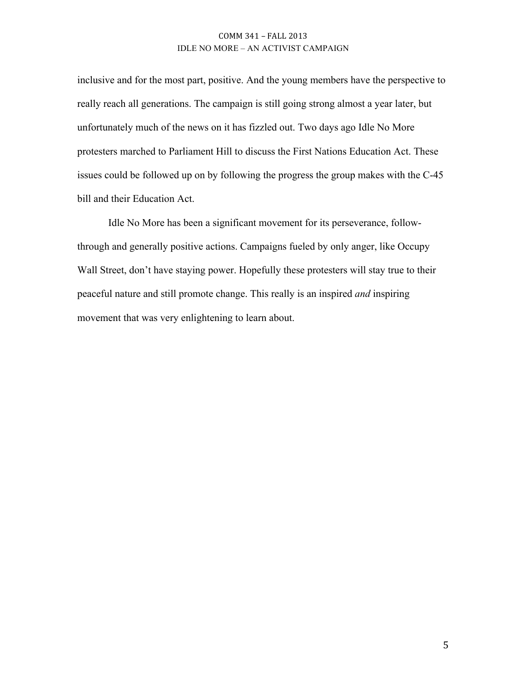inclusive and for the most part, positive. And the young members have the perspective to really reach all generations. The campaign is still going strong almost a year later, but unfortunately much of the news on it has fizzled out. Two days ago Idle No More protesters marched to Parliament Hill to discuss the First Nations Education Act. These issues could be followed up on by following the progress the group makes with the C-45 bill and their Education Act.

Idle No More has been a significant movement for its perseverance, followthrough and generally positive actions. Campaigns fueled by only anger, like Occupy Wall Street, don't have staying power. Hopefully these protesters will stay true to their peaceful nature and still promote change. This really is an inspired *and* inspiring movement that was very enlightening to learn about.